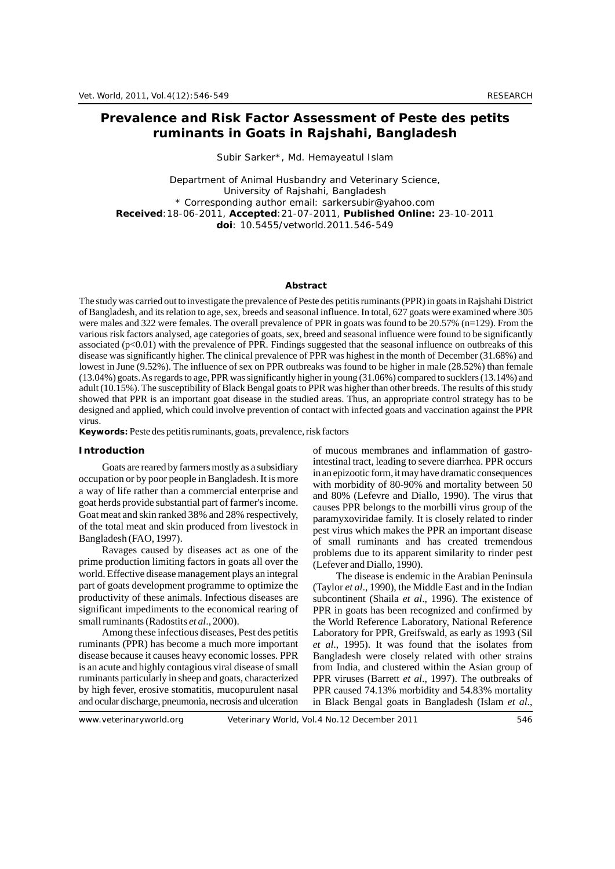# **Prevalence and Risk Factor Assessment of Peste des petits ruminants in Goats in Rajshahi, Bangladesh**

## Subir Sarker\*, Md. Hemayeatul Islam

Department of Animal Husbandry and Veterinary Science, University of Rajshahi, Bangladesh \* Corresponding author email: sarkersubir@yahoo.com **Received**:18-06-2011, **Accepted**:21-07-2011, **Published Online:** 23-10-2011 **doi**: 10.5455/vetworld.2011.546-549

### **Abstract**

The study was carried out to investigate the prevalence of Peste des petitis ruminants (PPR) in goats in Rajshahi District of Bangladesh, and its relation to age, sex, breeds and seasonal influence. In total, 627 goats were examined where 305 were males and 322 were females. The overall prevalence of PPR in goats was found to be 20.57% (n=129). From the various risk factors analysed, age categories of goats, sex, breed and seasonal influence were found to be significantly associated (p<0.01) with the prevalence of PPR. Findings suggested that the seasonal influence on outbreaks of this disease was significantly higher. The clinical prevalence of PPR was highest in the month of December (31.68%) and lowest in June (9.52%). The influence of sex on PPR outbreaks was found to be higher in male (28.52%) than female (13.04%) goats. As regards to age, PPR was significantly higher in young (31.06%) compared to sucklers (13.14%) and adult (10.15%). The susceptibility of Black Bengal goats to PPR was higher than other breeds. The results of this study showed that PPR is an important goat disease in the studied areas. Thus, an appropriate control strategy has to be designed and applied, which could involve prevention of contact with infected goats and vaccination against the PPR virus.

**Keywords:** Peste des petitis ruminants, goats, prevalence, risk factors

goat herds provide substantial part of farmer's income.<br>Goat meat and skin ranked 38% and 28% respectively, approximately family. It is alonely related to rinder

prime production limiting factors in goats all over the (Lefever and Diallo, 1990). world. Effective disease management plays an integral The disease is endemic in the Arabian Peninsula part of goats development programme to optimize the (Taylor *et al.*, 1990), the Middle East and in the Indian productivity of these animals. Infectious diseases are subcontinent (Shaila *et al*., 1996). The existence of significant impediments to the economical rearing of PPR in goats has been recognized and confirmed by

ruminants (PPR) has become a much more important *et al*., 1995). It was found that the isolates from disease because it causes heavy economic losses. PPR Bangladesh were closely related with other strains is an acute and highly contagious viral disease of small from India, and clustered within the Asian group of ruminants particularly in sheep and goats, characterized PPR viruses (Barrett *et al*., 1997). The outbreaks of by high fever, erosive stomatitis, mucopurulent nasal PPR caused 74.13% morbidity and 54.83% mortality and ocular discharge, pneumonia, necrosis and ulceration in Black Bengal goats in Bangladesh (Islam *et al*.,

**Introduction** of mucous membranes and inflammation of gastro-Goats are reared by farmers mostly as a subsidiary<br>occupation or by poor people in Bangladesh. It is more<br>a way of life rather than a commercial enterprise and<br>organization of 80-90% and mortality between 50<br>and 90% (Lefsu a way of life rather than a commercial enterprise and<br>goat herds provide substantial part of farmer's income.<br>gouges ppp belongs to the morbilli virus group of the Goat meat and skin ranked 38% and 28% respectively, paramyxoviridae family. It is closely related to rinder of the total meat and skin produced from livestock in of the total meat and skin produced from livestock in pest virus which makes the PPR an important disease<br>Bangladesh (FAO, 1997). ladesh (FAO, 1997).<br>Ravages caused by diseases act as one of the sproblems due to its apparent similarity to rinder pest problems due to its apparent similarity to rinder pest

(Taylor *et al.*, 1990), the Middle East and in the Indian small ruminants (Radostits *et al.*, 2000). the World Reference Laboratory, National Reference<br>Among these infectious diseases, Pest des petitis Laboratory for PPR, Greifswald, as early as 1993 (Sil Laboratory for PPR, Greifswald, as early as 1993 (Sil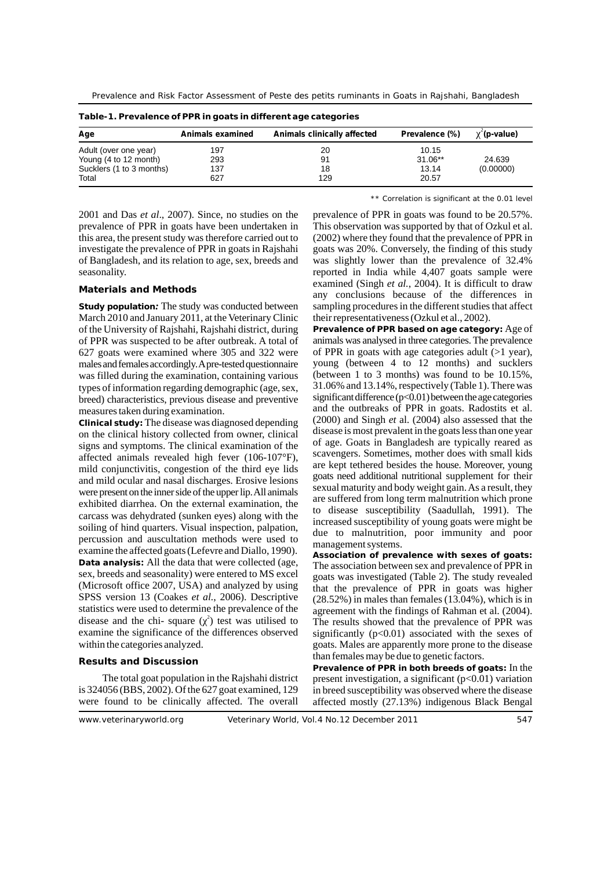Prevalence and Risk Factor Assessment of Peste des petits ruminants in Goats in Rajshahi, Bangladesh

| Table - I. Frevalence of FFR in goals in unterent age categories |                  |                             |                |                  |  |  |
|------------------------------------------------------------------|------------------|-----------------------------|----------------|------------------|--|--|
| Age                                                              | Animals examined | Animals clinically affected | Prevalence (%) | <b>(p-value)</b> |  |  |
| Adult (over one year)                                            | 197              | 20                          | 10.15          |                  |  |  |
| Young (4 to 12 month)                                            | 293              | 91                          | 31.06**        | 24.639           |  |  |
| Sucklers (1 to 3 months)                                         | 137              | 18                          | 13.14          | (0.00000)        |  |  |
| Total                                                            | 627              | 129                         | 20.57          |                  |  |  |

**Table-1. Prevalence of PPR in goats in different age categories**

\*\* Correlation is significant at the 0.01 level

prevalence of PPR in goats have been undertaken in This observation was supported by that of Ozkul et al. this area, the present study was therefore carried out to (2002) where they found that the prevalence of PPR in investigate the prevalence of PPR in goats in Rajshahi goats was 20%. Conversely, the finding of this study of Bangladesh, and its relation to age, sex, breeds and was slightly lower than the prevalence of 32.4% seasonality. The seasonality is the seasonality. The seasonality is the seasonality of the seasonality is the seasonality of the seasonality of the seasonality of the seasonality of the seasonality of the seasonality of th

March 2010 and January 2011, at the Veterinary Clinic their representativeness (Ozkul et al., 2002). of the University of Rajshahi, Rajshahi district, during **Prevalence of PPR based on age category:** Age of breed) characteristics, previous disease and preventive

on the clinical history collected from owner, clinical disease is most prevalent in the goats less than one year<br>signs and symptoms. The clinical examination of the of age. Goats in Bangladesh are typically reared as signs and symptoms. The clinical examination of the of age. Goats in Bangladesh are typically reared as affected animals revealed high fever  $(106, 107)$  scavengers. Sometimes, mother does with small kids mild conjunctivitis, congestion of the third eye lids<br>and the tent tentered besides the house. Moreover, young<br>goats need additional nutritional supplement for their<br>goats need additional nutritional supplement for their and mild ocular and nasal discharges. Erosive lesions goals need additional nutritional supplement for their were present on the inner side of the upper lip. All animals sexual maturity and body weight gain. As a result, t are suffered from long term malnutrition which prone exhibited diarrhea. On the external examination, the carcass was dehydrated (sunken eyes) along with the<br>soiling of hind quarters. Visual inspection, palpation,<br>percussion and auscultation methods were used to<br>examine the affected goats (Lefevre and Diallo, 1990).<br>Data analy Data analysis**:** All the data that were collected (age, The association between sex and prevalence of PPR in sex, breeds and seasonality) were entered to MS excel  $\sigma$  oats was investigated (Table 2). The study revealed sex, breeds and seasonality) were entered to MS excel goats was investigated (Table 2). The study revealed (Microsoft office 2007, USA) and analyzed by using that the prevalence of PPR in goats was higher SPSS version 13 (Coakes *et al.*, 2006). Descriptive (28.52%) in males than females (13.04%), which is in statistics were used to determine the prevalence of the agreement with the findings of Rahman et al. (2004). disease and the chi- square  $(2)$  test was utilised to The results showed that the prevalence of PPR was examine the significance of the differences observed significantly (p<0.01) associated with the sexes of

2001 and Das *et al*., 2007). Since, no studies on the prevalence of PPR in goats was found to be 20.57%. examined (Singh *et al.*, 2004). It is difficult to draw **Materials and Methods** any conclusions because of the differences in **Study population***:* The study was conducted between sampling procedures in the different studies that affect

of PPR was suspected to be after outbreak. A total of animals was analysed in three categories.The prevalence 627 goats were examined where 305 and 322 were of PPR in goats with age categories adult (>1 year), males and females accordingly. Apre-tested questionnaire young (between 4 to 12 months) and sucklers was filled during the examination containing various (between 1 to 3 months) was found to be 10.15%. was filled during the examination, containing various (between 1 to 3 months) was found to be 10.15%, types of information regarding demographic (age, sex. 31.06% and 13.14%, respectively (Table 1). There was types of information regarding demographic (age, sex,  $31.06\%$  and 13.14%, respectively (Table 1). There was threed) characteristics previous disease and preventive significant difference (p<0.01) between the age categor measures taken during examination. and the outbreaks of PPR in goats. Radostits et al.<br>Clinical study: The disease was diagnosed depending (2000) and Singh *et* al. (2004) also assessed that the Clinical study: The disease was diagnosed depending (2000) and Singh *et al.* (2004) also assessed that the on the clinical history collected from owner clinical disease is most prevalent in the goats less than one year affected animals revealed high fever  $(106-107)$ °F), scavengers. Sometimes, mother does with small kids mild conjunctivitie, congestion of the third are lide. to disease susceptibility (Saadullah, 1991). The

that the prevalence of PPR in goats was higher agreement with the findings of Rahman et al. (2004). within the categories analyzed. goats. Males are apparently more prone to the disease

than females may be due to genetic factors. **Results and Discussion Prevalence of PPR in both breeds of goats:** In the present investigation, a significant ( $p<0.01$ ) variation is 324056 (BBS, 2002). Of the 627 goat examined, 129 in breed susceptibility was observed where the disease were found to be clinically affected. The overall affected mostly (27.13%) indigenous Black Bengal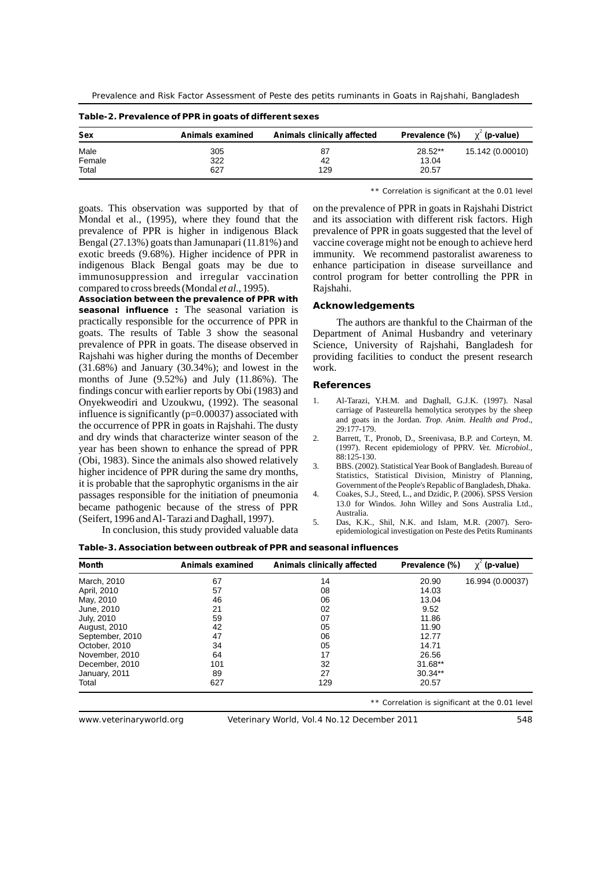Prevalence and Risk Factor Assessment of Peste des petits ruminants in Goats in Rajshahi, Bangladesh

| <b>Sex</b> | Animals examined | Animals clinically affected | Prevalence (%) | <sup>2</sup> (p-value) |
|------------|------------------|-----------------------------|----------------|------------------------|
| Male       | 305              | 87                          | 28.52**        | 15.142 (0.00010)       |
| Female     | 322              | 42                          | 13.04          |                        |
| Total      | 627              | 129                         | 20.57          |                        |

**Table-2. Prevalence of PPR in goats of different sexes**

\*\* Correlation is significant at the 0.01 level

Mondal et al., (1995), where they found that the and its association with different risk factors. High prevalence of PPR is higher in indigenous Black prevalence of PPR in goats suggested that the level of Bengal (27.13%) goats than Jamunapari (11.81%) and vaccine coverage might not be enough to achieve herd exotic breeds (9.68%). Higher incidence of PPR in immunity. We recommend pastoralist awareness to indigenous Black Bengal goats may be due to enhance participation in disease surveillance and immunosuppression and irregular vaccination control program for better controlling the PPR in compared to cross breeds (Mondal *et al*., 1995). Rajshahi.

**Association between the prevalence of PPR with Acknowledgements seasonal influence :** The seasonal variation is practically responsible for the occurrence of PPR in The authors are thankful to the Chairman of the goats. The results of Table 3 show the seasonal Department of Animal Husbandry and veterinary prevalence of PPR in goats. The disease observed in Science, University of Rajshahi, Bangladesh for Rajshahi was higher during the months of December providing facilities to conduct the present research (31.68%) and January (30.34%); and lowest in the work. months of June (9.52%) and July (11.86%). The<br>
findings concur with earlier reports by Obi (1983) and<br> **References Christian Converts Concept Concept Converts Converts of the Convert of Converts Converts Converts Convert** Onyekweodiri and Uzoukwu, (1992). The seasonal 1. Al-Tarazi, Y.H.M. and Daghall, G.J.K. (1997). Nasal influence is significantly  $(p-0.00037)$  associated with carriage of Pasteurella hemolytica serotypes by the sheep influence is significantly ( $p=0.00037$ ) associated with<br>the occurrence of PPR in goats in Rajshahi. The dusty<br>and dry winds that characterize winter season of the  $2.$  Barrett, T., Pronob, D., Sreenivasa, B.P. and Cortev and dry winds that characterize winter season of the year has been shown to enhance the spread of PPR (1997). Recent epidemiology of PPRV. *Vet. Microbiol.*, **(Obj** 1092). Since the sprimals also showed relatively. 88:125-130. (Obi, 1983). Since the animals also showed relatively<br>higher incidence of PPR during the same dry months,<br>Statistics. Statistical Division. Ministry of Planning. it is probable that the saprophytic organisms in the air Government of the People's Repablic of Bangladesh, Dhaka. passages responsible for the initiation of pneumonia 4. Coakes, S.J., Steed, L., and Dzidic, P. (2006). SPSS Version responses to the stress of **DDD** 13.0 for Windos. John Willey and Sons Australia Ltd., became pathogenic because of the stress of PPR<br>
(Seifert, 1996 and Al- Tarazi and Daghall, 1997).<br>
5. Das, K.K., Shil, N.K. and Islam, M.R. (2007). Sero-

goats. This observation was supported by that of on the prevalence of PPR in goats in Rajshahi District

Department of Animal Husbandry and veterinary

- 
- 
- 
- 
- In conclusion, this study provided valuable data epidemiological investigation on Peste des Petits Ruminants

\*\* Correlation is significant at the 0.01 level

**Table-3. Association between outbreak of PPR and seasonal influences** 

| <b>Month</b>    | Animals examined | Animals clinically affected | Prevalence (%) | (p-value)        |
|-----------------|------------------|-----------------------------|----------------|------------------|
| March, 2010     | 67               | 14                          | 20.90          | 16.994 (0.00037) |
| April, 2010     | 57               | 08                          | 14.03          |                  |
| May, 2010       | 46               | 06                          | 13.04          |                  |
| June, 2010      | 21               | 02                          | 9.52           |                  |
| July, 2010      | 59               | 07                          | 11.86          |                  |
| August, 2010    | 42               | 05                          | 11.90          |                  |
| September, 2010 | 47               | 06                          | 12.77          |                  |
| October, 2010   | 34               | 05                          | 14.71          |                  |
| November, 2010  | 64               | 17                          | 26.56          |                  |
| December, 2010  | 101              | 32                          | 31.68**        |                  |
| January, 2011   | 89               | 27                          | $30.34**$      |                  |
| Total           | 627              | 129                         | 20.57          |                  |

www.veterinaryworld.org Veterinary World, Vol.4 No.12 December 2011 548